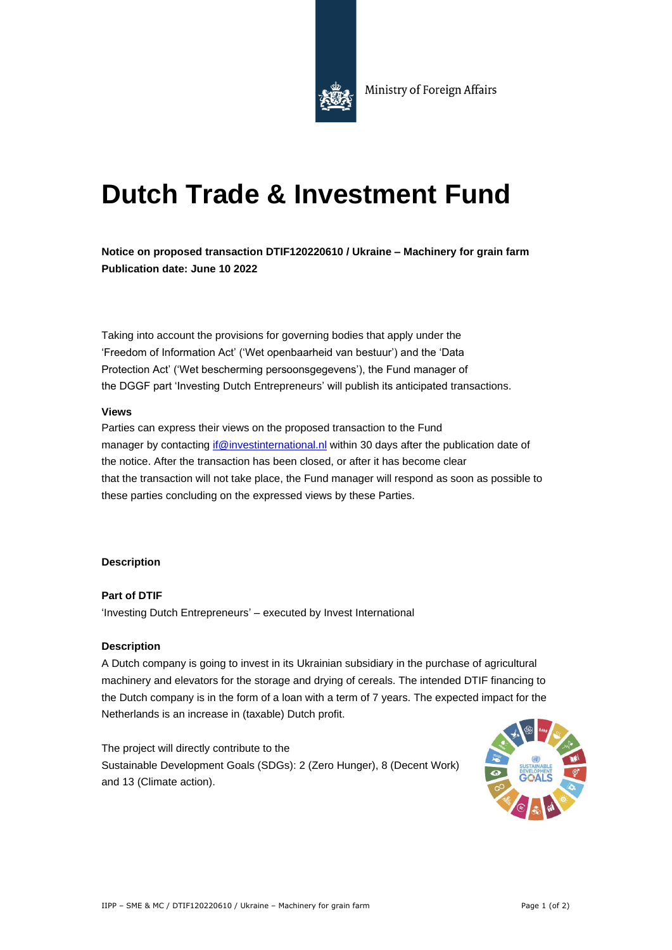

# **Dutch Trade & Investment Fund**

**Notice on proposed transaction DTIF120220610 / Ukraine – Machinery for grain farm Publication date: June 10 2022**

Taking into account the provisions for governing bodies that apply under the 'Freedom of Information Act' ('Wet openbaarheid van bestuur') and the 'Data Protection Act' ('Wet bescherming persoonsgegevens'), the Fund manager of the DGGF part 'Investing Dutch Entrepreneurs' will publish its anticipated transactions.

#### **Views**

Parties can express their views on the proposed transaction to the Fund manager by contacting if @investinternational.nl within 30 days after the publication date of the notice. After the transaction has been closed, or after it has become clear that the transaction will not take place, the Fund manager will respond as soon as possible to these parties concluding on the expressed views by these Parties.

### **Description**

**Part of DTIF** 'Investing Dutch Entrepreneurs' – executed by Invest International

### **Description**

A Dutch company is going to invest in its Ukrainian subsidiary in the purchase of agricultural machinery and elevators for the storage and drying of cereals. The intended DTIF financing to the Dutch company is in the form of a loan with a term of 7 years. The expected impact for the Netherlands is an increase in (taxable) Dutch profit.

The project will directly contribute to the Sustainable Development Goals (SDGs): 2 (Zero Hunger), 8 (Decent Work) and 13 (Climate action).